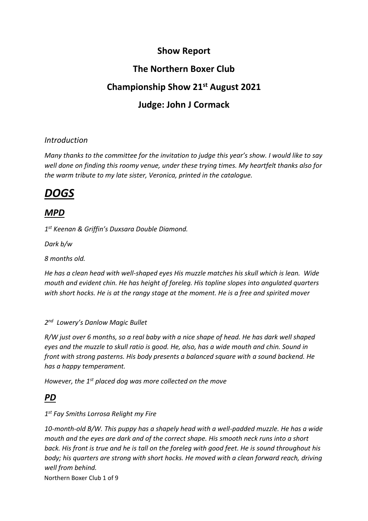# **Show Report**

# **The Northern Boxer Club**

# **Championship Show 21st August 2021**

# **Judge: John J Cormack**

#### *Introduction*

*Many thanks to the committee for the invitation to judge this year's show. I would like to say well done on finding this roomy venue, under these trying times. My heartfelt thanks also for the warm tribute to my late sister, Veronica, printed in the catalogue.*

# *DOGS*

## *MPD*

*1 st Keenan & Griffin's Duxsara Double Diamond.*

*Dark b/w* 

*8 months old.*

*He has a clean head with well-shaped eyes His muzzle matches his skull which is lean. Wide mouth and evident chin. He has height of foreleg. His topline slopes into angulated quarters with short hocks. He is at the rangy stage at the moment. He is a free and spirited mover*

#### *2 nd Lowery's Danlow Magic Bullet*

*R/W just over 6 months, so a real baby with a nice shape of head. He has dark well shaped eyes and the muzzle to skull ratio is good. He, also, has a wide mouth and chin. Sound in front with strong pasterns. His body presents a balanced square with a sound backend. He has a happy temperament.*

*However, the 1st placed dog was more collected on the move*

# *PD*

#### *1 st Fay Smiths Lorrosa Relight my Fire*

*10-month-old B/W. This puppy has a shapely head with a well-padded muzzle. He has a wide mouth and the eyes are dark and of the correct shape. His smooth neck runs into a short back. His front is true and he is tall on the foreleg with good feet. He is sound throughout his body; his quarters are strong with short hocks. He moved with a clean forward reach, driving well from behind.*

Northern Boxer Club 1 of 9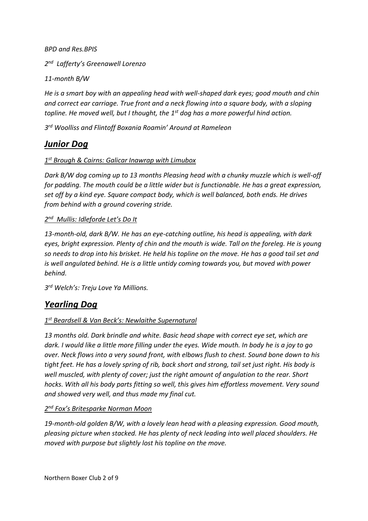*BPD and Res.BPIS*

*2 nd Lafferty's Greenawell Lorenzo*

*11-month B/W*

*He is a smart boy with an appealing head with well-shaped dark eyes; good mouth and chin and correct ear carriage. True front and a neck flowing into a square body, with a sloping topline. He moved well, but I thought, the 1st dog has a more powerful hind action.*

*3 rd Woolliss and Flintoff Boxania Roamin' Around at Rameleon*

### *Junior Dog*

#### *1 st Brough & Cairns: Galicar Inawrap with Limubox*

*Dark B/W dog coming up to 13 months Pleasing head with a chunky muzzle which is well-off for padding. The mouth could be a little wider but is functionable. He has a great expression, set off by a kind eye. Square compact body, which is well balanced, both ends. He drives from behind with a ground covering stride.*

#### *2 nd Mullis: Idleforde Let's Do It*

*13-month-old, dark B/W. He has an eye-catching outline, his head is appealing, with dark eyes, bright expression. Plenty of chin and the mouth is wide. Tall on the foreleg. He is young so needs to drop into his brisket. He held his topline on the move. He has a good tail set and is well angulated behind. He is a little untidy coming towards you, but moved with power behind.*

*3 rd Welch's: Treju Love Ya Millions.*

### *Yearling Dog*

#### *1 st Beardsell & Van Beck's: Newlaithe Supernatural*

*13 months old. Dark brindle and white. Basic head shape with correct eye set, which are dark. I would like a little more filling under the eyes. Wide mouth. In body he is a joy to go over. Neck flows into a very sound front, with elbows flush to chest. Sound bone down to his tight feet. He has a lovely spring of rib, back short and strong, tail set just right. His body is well muscled, with plenty of cover; just the right amount of angulation to the rear. Short hocks. With all his body parts fitting so well, this gives him effortless movement. Very sound and showed very well, and thus made my final cut.*

#### *2 nd Fox's Britesparke Norman Moon*

*19-month-old golden B/W, with a lovely lean head with a pleasing expression. Good mouth, pleasing picture when stacked. He has plenty of neck leading into well placed shoulders. He moved with purpose but slightly lost his topline on the move.*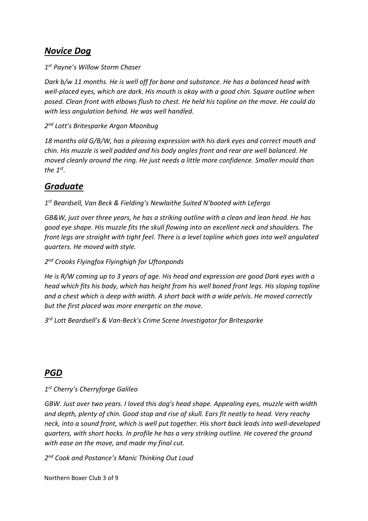### *Novice Dog*

*1 st Payne's Willow Storm Chaser*

*Dark b/w 11 months. He is well off for bone and substance. He has a balanced head with well-placed eyes, which are dark. His mouth is okay with a good chin. Square outline when posed. Clean front with elbows flush to chest. He held his topline on the move. He could do with less angulation behind. He was well handled.*

*2 nd Lott's Britesparke Argon Moonbug*

*18 months old G/B/W, has a pleasing expression with his dark eyes and correct mouth and chin. His muzzle is well padded and his body angles front and rear are well balanced. He moved cleanly around the ring. He just needs a little more confidence. Smaller mould than the 1st .*

# *Graduate*

*1 st Beardsell, Van Beck & Fielding's Newlaithe Suited N'booted with Lefergo*

*GB&W, just over three years, he has a striking outline with a clean and lean head. He has good eye shape. His muzzle fits the skull flowing into an excellent neck and shoulders. The front legs are straight with tight feel. There is a level topline which goes into well angulated quarters. He moved with style.*

*2 nd Crooks Flyingfox Flyinghigh for Uftonponds*

*He is R/W coming up to 3 years of age. His head and expression are good Dark eyes with a head which fits his body, which has height from his well boned front legs. His sloping topline and a chest which is deep with width. A short back with a wide pelvis. He moved correctly but the first placed was more energetic on the move.*

*3 rd Lott Beardsell's & Van-Beck's Crime Scene Investigator for Britesparke*

## *PGD*

*1 st Cherry's Cherryforge Galileo* 

*GBW. Just over two years. I loved this dog's head shape. Appealing eyes, muzzle with width and depth, plenty of chin. Good stop and rise of skull. Ears fit neatly to head. Very reachy neck, into a sound front, which is well put together. His short back leads into well-developed quarters, with short hocks. In profile he has a very striking outline. He covered the ground with ease on the move, and made my final cut.*

*2 nd Cook and Postance's Manic Thinking Out Loud*

Northern Boxer Club 3 of 9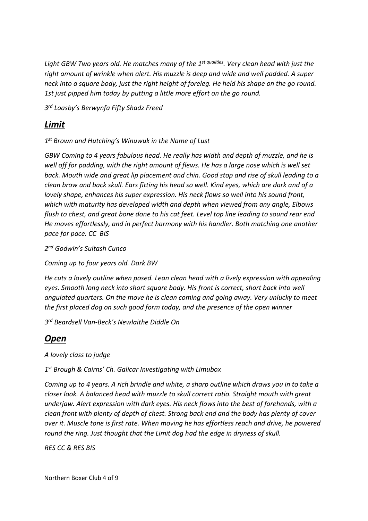*Light GBW Two years old. He matches many of the 1st qualities. Very clean head with just the right amount of wrinkle when alert. His muzzle is deep and wide and well padded. A super neck into a square body, just the right height of foreleg. He held his shape on the go round. 1st just pipped him today by putting a little more effort on the go round.*

*3 rd Loasby's Berwynfa Fifty Shadz Freed*

### *Limit*

*1 st Brown and Hutching's Winuwuk in the Name of Lust*

*GBW Coming to 4 years fabulous head. He really has width and depth of muzzle, and he is well off for padding, with the right amount of flews. He has a large nose which is well set back. Mouth wide and great lip placement and chin. Good stop and rise of skull leading to a clean brow and back skull. Ears fitting his head so well. Kind eyes, which are dark and of a lovely shape, enhances his super expression. His neck flows so well into his sound front, which with maturity has developed width and depth when viewed from any angle, Elbows flush to chest, and great bone done to his cat feet. Level top line leading to sound rear end He moves effortlessly, and in perfect harmony with his handler. Both matching one another pace for pace. CC BIS*

*2 nd Godwin's Sultash Cunco* 

*Coming up to four years old. Dark BW*

*He cuts a lovely outline when posed. Lean clean head with a lively expression with appealing eyes. Smooth long neck into short square body. His front is correct, short back into well angulated quarters. On the move he is clean coming and going away. Very unlucky to meet the first placed dog on such good form today, and the presence of the open winner*

*3 rd Beardsell Van-Beck's Newlaithe Diddle On*

## *Open*

*A lovely class to judge*

*1 st Brough & Cairns' Ch. Galicar Investigating with Limubox*

*Coming up to 4 years. A rich brindle and white, a sharp outline which draws you in to take a closer look. A balanced head with muzzle to skull correct ratio. Straight mouth with great underjaw. Alert expression with dark eyes. His neck flows into the best of forehands, with a clean front with plenty of depth of chest. Strong back end and the body has plenty of cover over it. Muscle tone is first rate. When moving he has effortless reach and drive, he powered round the ring. Just thought that the Limit dog had the edge in dryness of skull.*

*RES CC & RES BIS*

Northern Boxer Club 4 of 9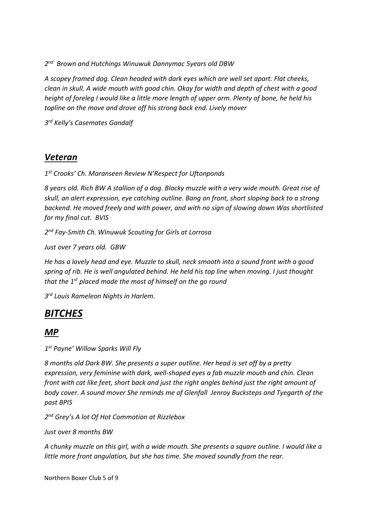*2 nd Brown and Hutchings Winuwuk Dannymac 5years old DBW*

*A scopey framed dog. Clean headed with dark eyes which are well set apart. Flat cheeks, clean in skull. A wide mouth with good chin. Okay for width and depth of chest with a good height of foreleg I would like a little more length of upper arm. Plenty of bone, he held his topline on the move and drove off his strong back end. Lively mover*

*3 rd Kelly's Casemates Gandalf*

#### *Veteran*

*1 st Crooks' Ch. Maranseen Review N'Respect for Uftonponds*

*8 years old. Rich BW A stallion of a dog. Blocky muzzle with a very wide mouth. Great rise of skull, an alert expression, eye catching outline. Bang on front, short sloping back to a strong backend. He moved freely and with power, and with no sign of slowing down Was shortlisted for my final cut. BVIS*

*2 nd Fay-Smith Ch. Winuwuk Scouting for Girls at Lorrosa*

*Just over 7 years old. GBW*

*He has a lovely head and eye. Muzzle to skull, neck smooth into a sound front with a good spring of rib. He is well angulated behind. He held his top line when moving. I just thought that the 1st placed made the most of himself on the go round*

*3 rd Louis Rameleon Nights in Harlem.*

## *BITCHES*

#### *MP*

*1 st Payne' Willow Sparks Will Fly*

*8 months old Dark BW. She presents a super outline. Her head is set off by a pretty expression, very feminine with dark, well-shaped eyes a fab muzzle mouth and chin. Clean front with cat like feet, short back and just the right angles behind just the right amount of body cover. A sound mover She reminds me of Glenfall Jenroy Bucksteps and Tyegarth of the past BPIS*

*2 nd Grey's A lot Of Hot Commotion at Rizzlebox*

*Just over 8 months BW*

*A chunky muzzle on this girl, with a wide mouth. She presents a square outline. I would like a little more front angulation, but she has time. She moved soundly from the rear.*

Northern Boxer Club 5 of 9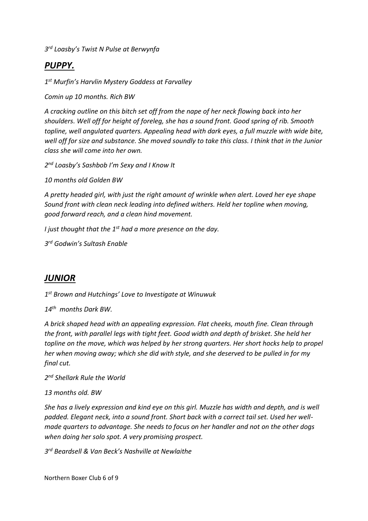*3 rd Loasby's Twist N Pulse at Berwynfa*

# *PUPPY.*

*1 st Murfin's Harvlin Mystery Goddess at Farvalley*

*Comin up 10 months. Rich BW*

*A cracking outline on this bitch set off from the nape of her neck flowing back into her shoulders. Well off for height of foreleg, she has a sound front. Good spring of rib. Smooth topline, well angulated quarters. Appealing head with dark eyes, a full muzzle with wide bite, well off for size and substance. She moved soundly to take this class. I think that in the Junior class she will come into her own.*

*2 nd Loasby's Sashbob I'm Sexy and I Know It*

*10 months old Golden BW*

*A pretty headed girl, with just the right amount of wrinkle when alert. Loved her eye shape Sound front with clean neck leading into defined withers. Held her topline when moving, good forward reach, and a clean hind movement.*

*I just thought that the 1st had a more presence on the day.*

*3 rd Godwin's Sultash Enable*

### *JUNIOR*

*1 st Brown and Hutchings' Love to Investigate at Winuwuk*

*14th months Dark BW.*

*A brick shaped head with an appealing expression. Flat cheeks, mouth fine. Clean through the front, with parallel legs with tight feet. Good width and depth of brisket. She held her topline on the move, which was helped by her strong quarters. Her short hocks help to propel her when moving away; which she did with style, and she deserved to be pulled in for my final cut.*

*2 nd Shellark Rule the World* 

#### *13 months old. BW*

*She has a lively expression and kind eye on this girl. Muzzle has width and depth, and is well padded. Elegant neck, into a sound front. Short back with a correct tail set. Used her wellmade quarters to advantage. She needs to focus on her handler and not on the other dogs when doing her solo spot. A very promising prospect.*

*3 rd Beardsell & Van Beck's Nashville at Newlaithe*

Northern Boxer Club 6 of 9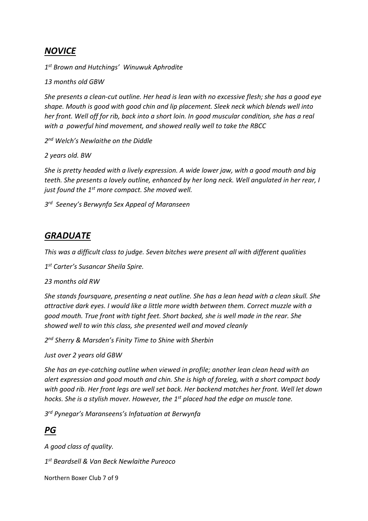### *NOVICE*

*1 st Brown and Hutchings' Winuwuk Aphrodite*

*13 months old GBW*

*She presents a clean-cut outline. Her head is lean with no excessive flesh; she has a good eye shape. Mouth is good with good chin and lip placement. Sleek neck which blends well into her front. Well off for rib, back into a short loin. In good muscular condition, she has a real with a powerful hind movement, and showed really well to take the RBCC*

*2 nd Welch's Newlaithe on the Diddle*

*2 years old. BW*

*She is pretty headed with a lively expression. A wide lower jaw, with a good mouth and big teeth. She presents a lovely outline, enhanced by her long neck. Well angulated in her rear, I just found the 1st more compact. She moved well.*

*3 rd Seeney's Berwynfa Sex Appeal of Maranseen*

### *GRADUATE*

*This was a difficult class to judge. Seven bitches were present all with different qualities*

*1 st Carter's Susancar Sheila Spire.*

*23 months old RW*

*She stands foursquare, presenting a neat outline. She has a lean head with a clean skull. She attractive dark eyes. I would like a little more width between them. Correct muzzle with a good mouth. True front with tight feet. Short backed, she is well made in the rear. She showed well to win this class, she presented well and moved cleanly*

*2 nd Sherry & Marsden's Finity Time to Shine with Sherbin*

*Just over 2 years old GBW*

*She has an eye-catching outline when viewed in profile; another lean clean head with an alert expression and good mouth and chin. She is high of foreleg, with a short compact body with good rib. Her front legs are well set back. Her backend matches her front. Well let down hocks. She is a stylish mover. However, the 1st placed had the edge on muscle tone.*

*3 rd Pynegar's Maranseens's Infatuation at Berwynfa*

### *PG*

*A good class of quality.*

*1 st Beardsell & Van Beck Newlaithe Pureoco*

Northern Boxer Club 7 of 9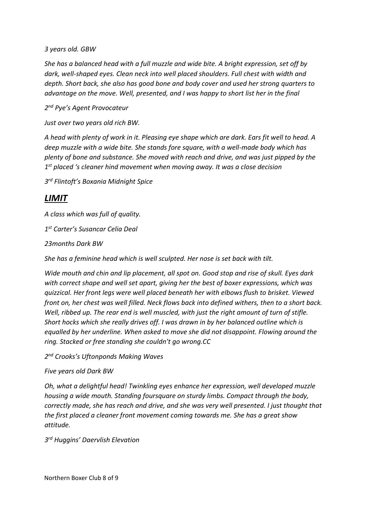*3 years old. GBW*

*She has a balanced head with a full muzzle and wide bite. A bright expression, set off by dark, well-shaped eyes. Clean neck into well placed shoulders. Full chest with width and depth. Short back, she also has good bone and body cover and used her strong quarters to advantage on the move. Well, presented, and I was happy to short list her in the final*

*2 nd Pye's Agent Provocateur*

*Just over two years old rich BW.*

*A head with plenty of work in it. Pleasing eye shape which are dark. Ears fit well to head. A deep muzzle with a wide bite. She stands fore square, with a well-made body which has plenty of bone and substance. She moved with reach and drive, and was just pipped by the 1 st placed 's cleaner hind movement when moving away. It was a close decision*

*3 rd Flintoft's Boxania Midnight Spice*

### *LIMIT*

*A class which was full of quality.*

*1 st Carter's Susancar Celia Deal*

*23months Dark BW*

*She has a feminine head which is well sculpted. Her nose is set back with tilt.*

*Wide mouth and chin and lip placement, all spot on. Good stop and rise of skull. Eyes dark with correct shape and well set apart, giving her the best of boxer expressions, which was quizzical. Her front legs were well placed beneath her with elbows flush to brisket. Viewed front on, her chest was well filled. Neck flows back into defined withers, then to a short back. Well, ribbed up. The rear end is well muscled, with just the right amount of turn of stifle. Short hocks which she really drives off. I was drawn in by her balanced outline which is equalled by her underline. When asked to move she did not disappoint. Flowing around the ring. Stacked or free standing she couldn't go wrong.CC*

*2 nd Crooks's Uftonponds Making Waves*

*Five years old Dark BW*

*Oh, what a delightful head! Twinkling eyes enhance her expression, well developed muzzle housing a wide mouth. Standing foursquare on sturdy limbs. Compact through the body, correctly made, she has reach and drive, and she was very well presented. I just thought that the first placed a cleaner front movement coming towards me. She has a great show attitude.*

*3 rd Huggins' Daervlish Elevation*